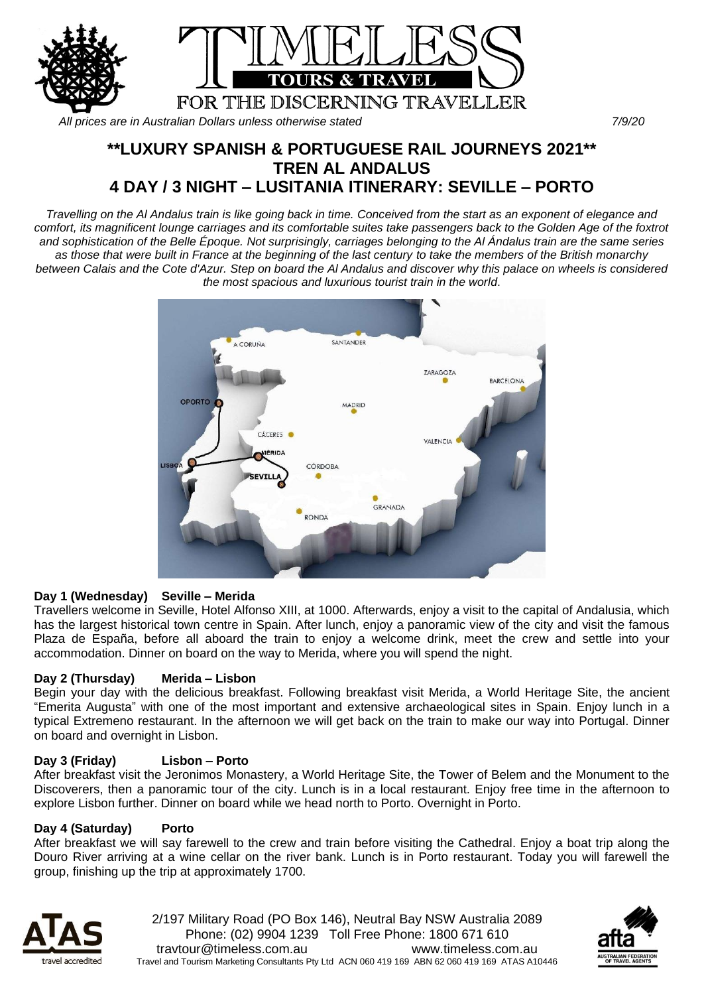

*All prices are in Australian Dollars unless otherwise stated 7/9/20*

# **\*\*LUXURY SPANISH & PORTUGUESE RAIL JOURNEYS 2021\*\* TREN AL ANDALUS 4 DAY / 3 NIGHT – LUSITANIA ITINERARY: SEVILLE – PORTO**

*Travelling on the Al Andalus train is like going back in time. Conceived from the start as an exponent of elegance and comfort, its magnificent lounge carriages and its comfortable suites take passengers back to the Golden Age of the foxtrot and sophistication of the Belle Époque. Not surprisingly, carriages belonging to the Al Ándalus train are the same series as those that were built in France at the beginning of the last century to take the members of the British monarchy between Calais and the Cote d'Azur. Step on board the Al Andalus and discover why this palace on wheels is considered the most spacious and luxurious tourist train in the world*.



## **Day 1 (Wednesday) Seville – Merida**

Travellers welcome in Seville, Hotel Alfonso XIII, at 1000. Afterwards, enjoy a visit to the capital of Andalusia, which has the largest historical town centre in Spain. After lunch, enjoy a panoramic view of the city and visit the famous Plaza de España, before all aboard the train to enjoy a welcome drink, meet the crew and settle into your accommodation. Dinner on board on the way to Merida, where you will spend the night.

## **Day 2 (Thursday) Merida – Lisbon**

Begin your day with the delicious breakfast. Following breakfast visit Merida, a World Heritage Site, the ancient "Emerita Augusta" with one of the most important and extensive archaeological sites in Spain. Enjoy lunch in a typical Extremeno restaurant. In the afternoon we will get back on the train to make our way into Portugal. Dinner on board and overnight in Lisbon.

## **Day 3 (Friday) Lisbon – Porto**

After breakfast visit the Jeronimos Monastery, a World Heritage Site, the Tower of Belem and the Monument to the Discoverers, then a panoramic tour of the city. Lunch is in a local restaurant. Enjoy free time in the afternoon to explore Lisbon further. Dinner on board while we head north to Porto. Overnight in Porto.

#### **Day 4 (Saturday) Porto**

After breakfast we will say farewell to the crew and train before visiting the Cathedral. Enjoy a boat trip along the Douro River arriving at a wine cellar on the river bank. Lunch is in Porto restaurant. Today you will farewell the group, finishing up the trip at approximately 1700.



2/197 Military Road (PO Box 146), Neutral Bay NSW Australia 2089 Phone: (02) 9904 1239 Toll Free Phone: 1800 671 610 travtour@timeless.com.au www.timeless.com.au Travel and Tourism Marketing Consultants Pty Ltd ACN 060 419 169 ABN 62 060 419 169 ATAS A10446